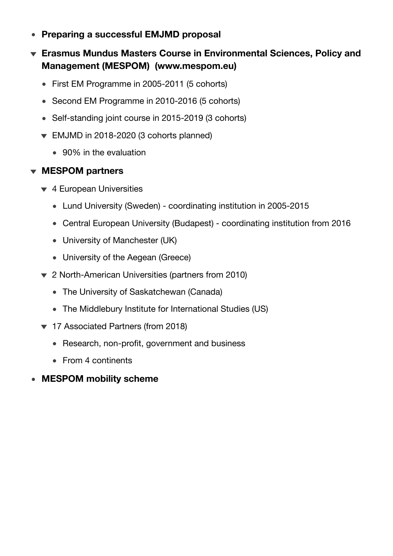- **Preparing a successful EMJMD proposal**  $\bullet$
- **Erasmus Mundus Masters Course in Environmental Sciences, Policy and Management (MESPOM) ([www.mespom.eu](http://www.mespom.eu))**
	- First EM Programme in 2005-2011 (5 cohorts)
	- Second EM Programme in 2010-2016 (5 cohorts)
	- Self-standing joint course in 2015-2019 (3 cohorts)
	- EMJMD in 2018-2020 (3 cohorts planned)
		- 90% in the evaluation

## **MESPOM partners**

- ▼ 4 European Universities
	- Lund University (Sweden) coordinating institution in 2005-2015
	- Central European University (Budapest) coordinating institution from 2016
	- University of Manchester (UK)
	- University of the Aegean (Greece)
- 2 North-American Universities (partners from 2010)
	- The University of Saskatchewan (Canada)
	- The Middlebury Institute for International Studies (US)
- ▼ 17 Associated Partners (from 2018)
	- Research, non-profit, government and business
	- From 4 continents
- **MESPOM mobility scheme**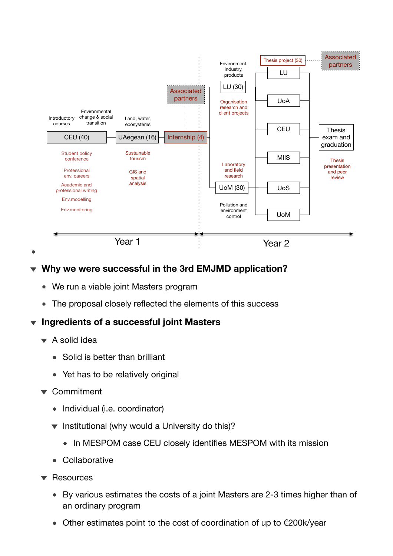

## **Why we were successful in the 3rd EMJMD application?**

- We run a viable joint Masters program
- The proposal closely reflected the elements of this success

## **Ingredients of a successful joint Masters**

- $\blacktriangleright$  A solid idea
	- Solid is better than brilliant
	- Yet has to be relatively original
- ▼ Commitment
	- Individual (i.e. coordinator)
	- $\blacktriangledown$  Institutional (why would a University do this)?
		- In MESPOM case CEU closely identifies MESPOM with its mission
	- Collaborative
- $\blacktriangledown$  Resources
	- By various estimates the costs of a joint Masters are 2-3 times higher than of an ordinary program
	- Other estimates point to the cost of coordination of up to €200k/year